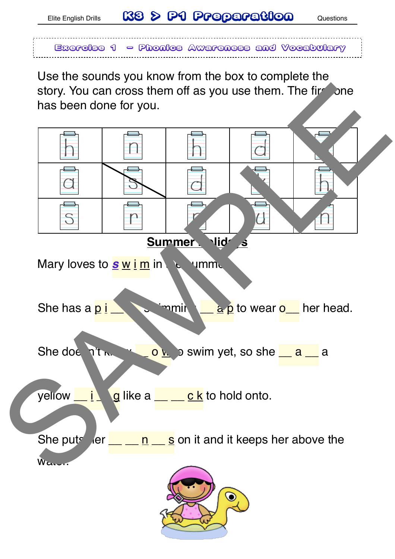Elite English Drills **K8 > P1 Preparation** Questions



Use the sounds you know from the box to complete the story. You can cross them off as you use them. The fire one has been done for you.

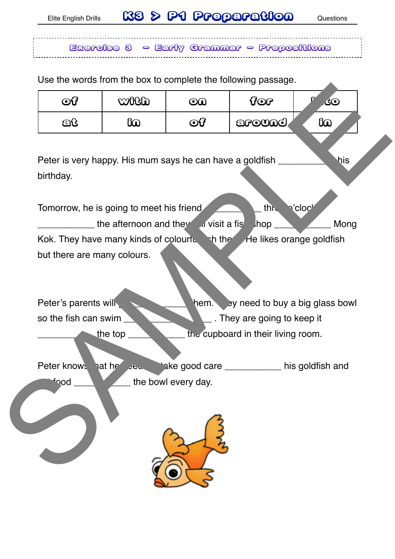Exercise 3 - Early Grammar - Prepositions

Use the words from the box to complete the following passage.

<u>----------------</u>-

| $\odot$ ပြ                                   | with                                                            | $\odot\!\!\!\!\!\omega$ | 900                                                                 | <b>ان</b> |
|----------------------------------------------|-----------------------------------------------------------------|-------------------------|---------------------------------------------------------------------|-----------|
| වයි                                          | 60                                                              | $\odot 7$               | around,                                                             | 60        |
| birthday.                                    | Peter is very happy. His mum says he can have a goldfish _      |                         |                                                                     | his       |
|                                              | Tomorrow, he is going to meet his friend                        |                         | thi<br>p'cloch                                                      |           |
|                                              | the afternoon and they<br>Kok. They have many kinds of colourtu | h the                   | a visit a fis<br>$,$ hop<br>He likes orange goldfish                | Mong      |
| but there are many colours.                  |                                                                 |                         |                                                                     |           |
| Peter's parents will<br>so the fish can swim |                                                                 | hem.                    | by need to buy a big glass bowl<br>$\_$ . They are going to keep it |           |
|                                              | the top                                                         |                         | the cupboard in their living room.                                  |           |
| Peter knows                                  | hat he<br>J                                                     |                         | *ake good care ____________ his goldfish and                        |           |
| $b$ ood                                      |                                                                 | the bowl every day.     |                                                                     |           |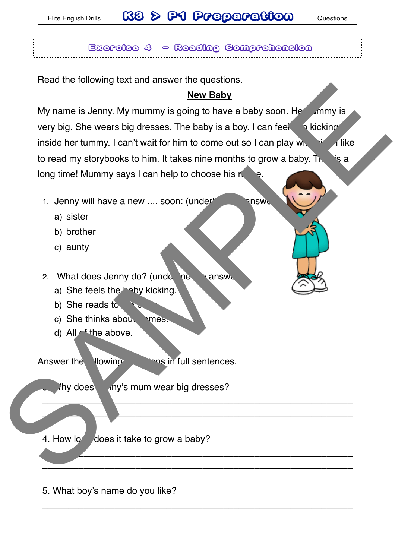# Elite English Drills **K8 > P1 Preparation** Questions

Exercise 4 - Reading Comprehension

Read the following text and answer the questions.

#### **New Baby**

My name is Jenny. My mummy is going to have a baby soon. Here the two is very big. She wears big dresses. The baby is a boy. I can feel  $\Box$  high kicking inside her tummy. I can't wait for him to come out so I can play with  $\frac{1}{2}$  like to read my storybooks to him. It takes nine months to grow a baby. The is a long time! Mummy says I can help to choose his n New Baby<br>
My name is Jenny. My mummy is going to have a baby soon. He<br>
we Baby<br>
we big. She wears big dresses. The baby is a boy. I can feel<br>
inside her turniny. I can't wait for him in to come out to I can play with<br>
to r

- 1. Jenny will have a new .... soon: (underling the answer
	- a) sister
	- b) brother
	- c) aunty

2. What does Jenny do? (underline  $\lambda$  answers)

- a) She feels the baby kicking.
- b) She reads to  $\sim$
- c) She thinks about  $n$  mes.
- d) All of the above.

Answer the llowing questions in full sentences.

Thy does iny's mum wear big dresses?

\_\_\_\_\_\_\_\_\_\_\_\_\_\_\_\_\_\_\_\_\_\_\_\_\_\_\_\_\_\_\_\_\_\_\_\_\_\_\_\_\_\_\_\_\_\_\_\_\_\_\_\_\_\_\_\_\_\_\_\_

 $\overline{\phantom{a}}$  ,  $\overline{\phantom{a}}$  ,  $\overline{\phantom{a}}$  ,  $\overline{\phantom{a}}$  ,  $\overline{\phantom{a}}$  ,  $\overline{\phantom{a}}$  ,  $\overline{\phantom{a}}$  ,  $\overline{\phantom{a}}$  ,  $\overline{\phantom{a}}$  ,  $\overline{\phantom{a}}$  ,  $\overline{\phantom{a}}$  ,  $\overline{\phantom{a}}$  ,  $\overline{\phantom{a}}$  ,  $\overline{\phantom{a}}$  ,  $\overline{\phantom{a}}$  ,  $\overline{\phantom{a}}$ 

 $\overline{\phantom{a}}$  ,  $\overline{\phantom{a}}$  ,  $\overline{\phantom{a}}$  ,  $\overline{\phantom{a}}$  ,  $\overline{\phantom{a}}$  ,  $\overline{\phantom{a}}$  ,  $\overline{\phantom{a}}$  ,  $\overline{\phantom{a}}$  ,  $\overline{\phantom{a}}$  ,  $\overline{\phantom{a}}$  ,  $\overline{\phantom{a}}$  ,  $\overline{\phantom{a}}$  ,  $\overline{\phantom{a}}$  ,  $\overline{\phantom{a}}$  ,  $\overline{\phantom{a}}$  ,  $\overline{\phantom{a}}$  $\frac{1}{2}$  ,  $\frac{1}{2}$  ,  $\frac{1}{2}$  ,  $\frac{1}{2}$  ,  $\frac{1}{2}$  ,  $\frac{1}{2}$  ,  $\frac{1}{2}$  ,  $\frac{1}{2}$  ,  $\frac{1}{2}$  ,  $\frac{1}{2}$  ,  $\frac{1}{2}$  ,  $\frac{1}{2}$  ,  $\frac{1}{2}$  ,  $\frac{1}{2}$  ,  $\frac{1}{2}$  ,  $\frac{1}{2}$  ,  $\frac{1}{2}$  ,  $\frac{1}{2}$  ,  $\frac{1$ 

\_\_\_\_\_\_\_\_\_\_\_\_\_\_\_\_\_\_\_\_\_\_\_\_\_\_\_\_\_\_\_\_\_\_\_\_\_\_\_\_\_\_\_\_\_\_\_\_\_\_\_\_\_\_\_\_\_\_\_\_

4. How long does it take to grow a baby?

5. What boy's name do you like?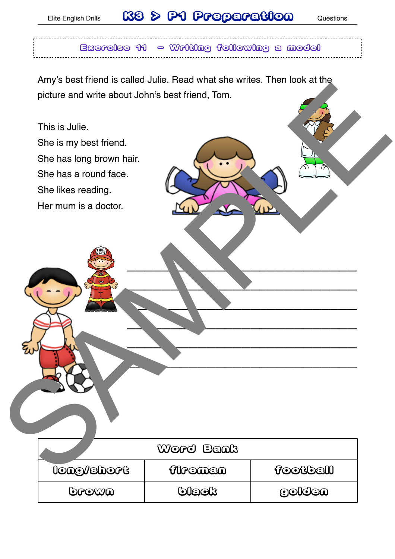# Elite English Drills **K8 & P1 Preparation** Questions

### $B$ xercise 11  $\sim$  Writing following a model

Amy's best friend is called Julie. Read what she writes. Then look at the picture and write about John's best friend, Tom.

| The book mond is called balle. Head what site which, Their look at the |           |                                         |
|------------------------------------------------------------------------|-----------|-----------------------------------------|
| picture and write about John's best friend, Tom.                       |           |                                         |
| This is Julie.                                                         |           |                                         |
| She is my best friend.                                                 |           |                                         |
| She has long brown hair.                                               |           |                                         |
| She has a round face.                                                  |           |                                         |
| She likes reading.                                                     |           |                                         |
| Her mum is a doctor.                                                   |           |                                         |
|                                                                        |           |                                         |
|                                                                        |           |                                         |
|                                                                        |           |                                         |
|                                                                        |           |                                         |
|                                                                        |           |                                         |
|                                                                        |           |                                         |
|                                                                        |           |                                         |
|                                                                        |           |                                         |
|                                                                        |           |                                         |
|                                                                        |           |                                         |
|                                                                        |           |                                         |
|                                                                        |           |                                         |
|                                                                        |           |                                         |
|                                                                        | Word Bank |                                         |
| <b>long/short</b>                                                      | flremen   | <b>football</b>                         |
| <b>Drown</b>                                                           | black     | $\odot$ $\odot$ $\odot$ $\odot$ $\odot$ |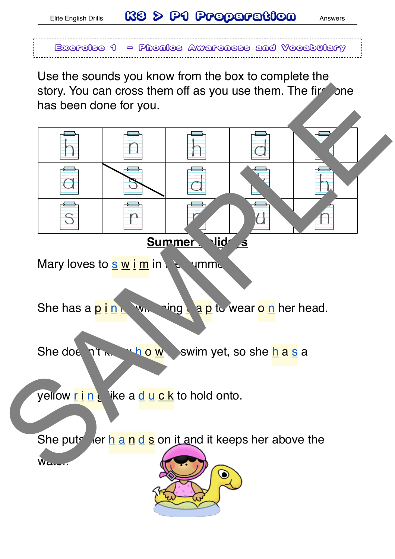### Elite English Drills **K3<sup>8</sup> & P1 Preparation** Answers

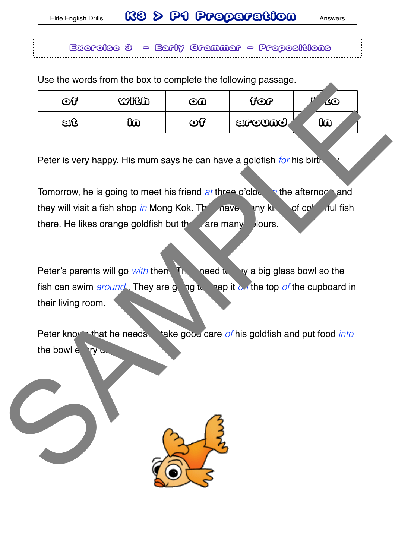Exercise 3 - Early Grammar - Prepositions

Use the words from the box to complete the following passage.

| $\bf{O}G$ | <b>WHOLE</b> | $\mathbf{O} \mathbf{O}$    | ිලා     | Ο<br><b>30</b> |
|-----------|--------------|----------------------------|---------|----------------|
| වti       | ‱            | ව $\boldsymbol{\varOmega}$ | around, | 60             |

Peter is very happy. His mum says he can have a goldfish *for* his birth.

Tomorrow, he is going to meet his friend *at* three o'clock in the afternoon and they will visit a fish shop *in* Mong Kok. The may be many kind of colour fish there. He likes orange goldfish but the are many  $\lambda$  lours.

Peter's parents will go *with* them. The greed to buy a big glass bowl so the fish can swim *around*. They are going to keep it *on* the top *of* the cupboard in their living room. of contrast in the same of contrast in the same of the stars of the stars of the stars of the stars of the stars of the stars of the stars of the stars of the stars of the stars of the stars of the stars of the stars of t

Peter know that he needs take good care of his goldfish and put food *into* the bowl  $e$   $\neg$  ry

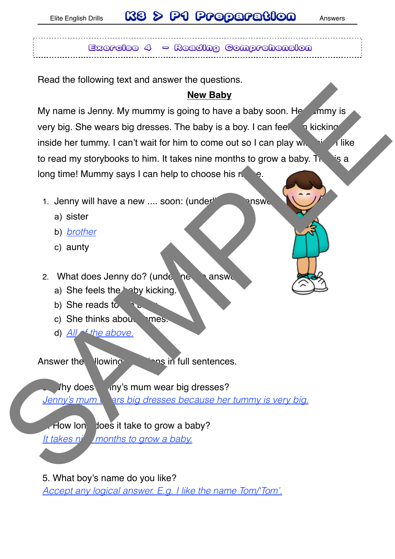## Elite English Drills **K8 & P1 Preparation** Answers

Exercise 4 - Reading Comprehension

Read the following text and answer the questions.

### **New Baby**

My name is Jenny. My mummy is going to have a baby soon. Here the many is very big. She wears big dresses. The baby is a boy. I can feel  $\rightarrow$  kicking inside her tummy. I can't wait for him to come out so I can play with  $\frac{1}{2}$  like to read my storybooks to him. It takes nine months to grow a baby. The is a long time! Mummy says I can help to choose his n Now the Monday and the state of the state of the state of the state of the state of the state of the state of the term of the minimized to read my storybooks to him. It takes nine months to grow a baby. It wise<br>to read my

- 1. Jenny will have a new .... soon: (underline the answer
	- a) sister
	- b) *brother*
	- c) aunty

2. What does Jenny do? (underline  $\lambda$  answers)

- a) She feels the baby kicking.
- b) She reads to  $\ddot{\phantom{a}}$
- c) She thinks about  $n$  mes.
- d) *All of the above.*

Answer the llowing and in full sentences.

Iny does iny's mum wear big dresses? *Jenny's mum wars big dresses because her tummy is very big.* 

How long does it take to grow a baby?

*It takes n<sup>inc</sup> months to grow a baby.* 

5. What boy's name do you like?

*Accept any logical answer. E.g. I like the name Tom/'Tom'.*